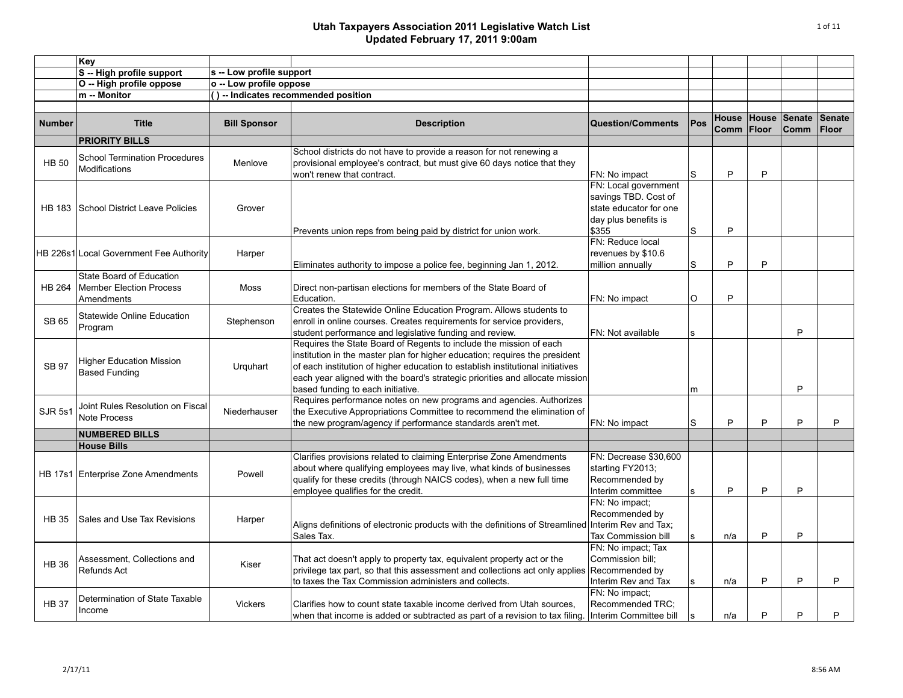|                | Key                                                                      |                          |                                                                                                                                                                                                                                                                                                                                                          |                                                                                                         |              |               |                |                       |                               |
|----------------|--------------------------------------------------------------------------|--------------------------|----------------------------------------------------------------------------------------------------------------------------------------------------------------------------------------------------------------------------------------------------------------------------------------------------------------------------------------------------------|---------------------------------------------------------------------------------------------------------|--------------|---------------|----------------|-----------------------|-------------------------------|
|                | S -- High profile support                                                | s -- Low profile support |                                                                                                                                                                                                                                                                                                                                                          |                                                                                                         |              |               |                |                       |                               |
|                | O -- High profile oppose                                                 | o -- Low profile oppose  |                                                                                                                                                                                                                                                                                                                                                          |                                                                                                         |              |               |                |                       |                               |
|                | m -- Monitor                                                             |                          | () -- Indicates recommended position                                                                                                                                                                                                                                                                                                                     |                                                                                                         |              |               |                |                       |                               |
|                |                                                                          |                          |                                                                                                                                                                                                                                                                                                                                                          |                                                                                                         |              |               |                |                       |                               |
| <b>Number</b>  | <b>Title</b>                                                             | <b>Bill Sponsor</b>      | <b>Description</b>                                                                                                                                                                                                                                                                                                                                       | <b>Question/Comments</b>                                                                                | Pos          | House<br>Comm | House<br>Floor | Senate<br><b>Comm</b> | <b>Senate</b><br><b>Floor</b> |
|                | <b>PRIORITY BILLS</b>                                                    |                          |                                                                                                                                                                                                                                                                                                                                                          |                                                                                                         |              |               |                |                       |                               |
| <b>HB 50</b>   | <b>School Termination Procedures</b><br>Modifications                    | Menlove                  | School districts do not have to provide a reason for not renewing a<br>provisional employee's contract, but must give 60 days notice that they<br>won't renew that contract.                                                                                                                                                                             | FN: No impact                                                                                           | S            | P             | P              |                       |                               |
|                | HB 183 School District Leave Policies                                    | Grover                   | Prevents union reps from being paid by district for union work.                                                                                                                                                                                                                                                                                          | FN: Local government<br>savings TBD. Cost of<br>state educator for one<br>day plus benefits is<br>\$355 | S            | P             |                |                       |                               |
|                | HB 226s1 Local Government Fee Authority                                  | Harper                   | Eliminates authority to impose a police fee, beginning Jan 1, 2012.                                                                                                                                                                                                                                                                                      | FN: Reduce local<br>revenues by \$10.6<br>million annually                                              | $\mathbf S$  | P             | P              |                       |                               |
| <b>HB 264</b>  | State Board of Education<br><b>Member Election Process</b><br>Amendments | Moss                     | Direct non-partisan elections for members of the State Board of<br>Education.                                                                                                                                                                                                                                                                            | FN: No impact                                                                                           | $\Omega$     | P             |                |                       |                               |
| SB 65          | Statewide Online Education<br>Program                                    | Stephenson               | Creates the Statewide Online Education Program. Allows students to<br>enroll in online courses. Creates requirements for service providers,<br>student performance and legislative funding and review.                                                                                                                                                   | FN: Not available                                                                                       | $\mathbf{s}$ |               |                | P                     |                               |
| <b>SB 97</b>   | <b>Higher Education Mission</b><br><b>Based Funding</b>                  | Urquhart                 | Requires the State Board of Regents to include the mission of each<br>institution in the master plan for higher education; requires the president<br>of each institution of higher education to establish institutional initiatives<br>each year aligned with the board's strategic priorities and allocate mission<br>based funding to each initiative. |                                                                                                         | m            |               |                | P                     |                               |
| <b>SJR 5s1</b> | Joint Rules Resolution on Fiscal<br><b>Note Process</b>                  | Niederhauser             | Requires performance notes on new programs and agencies. Authorizes<br>the Executive Appropriations Committee to recommend the elimination of<br>the new program/agency if performance standards aren't met.                                                                                                                                             | FN: No impact                                                                                           | $\mathbf S$  | P             | P              | P                     | P                             |
|                | <b>NUMBERED BILLS</b>                                                    |                          |                                                                                                                                                                                                                                                                                                                                                          |                                                                                                         |              |               |                |                       |                               |
|                | <b>House Bills</b>                                                       |                          |                                                                                                                                                                                                                                                                                                                                                          |                                                                                                         |              |               |                |                       |                               |
|                | HB 17s1 Enterprise Zone Amendments                                       | Powell                   | Clarifies provisions related to claiming Enterprise Zone Amendments<br>about where qualifying employees may live, what kinds of businesses<br>qualify for these credits (through NAICS codes), when a new full time<br>employee qualifies for the credit.                                                                                                | FN: Decrease \$30,600<br>starting FY2013;<br>Recommended by<br>Interim committee                        | s            | P             | P              | P                     |                               |
| <b>HB 35</b>   | Sales and Use Tax Revisions                                              | Harper                   | Aligns definitions of electronic products with the definitions of Streamlined<br>Sales Tax.                                                                                                                                                                                                                                                              | FN: No impact;<br>Recommended by<br>Interim Rev and Tax;<br><b>Tax Commission bill</b>                  | s            | n/a           | P              | P                     |                               |
| <b>HB 36</b>   | Assessment, Collections and<br><b>Refunds Act</b>                        | Kiser                    | That act doesn't apply to property tax, equivalent property act or the<br>privilege tax part, so that this assessment and collections act only applies<br>to taxes the Tax Commission administers and collects.                                                                                                                                          | FN: No impact; Tax<br>Commission bill;<br>Recommended by<br>Interim Rev and Tax                         | s            | n/a           | P              | P                     | P                             |
| <b>HB 37</b>   | Determination of State Taxable<br>Income                                 | <b>Vickers</b>           | Clarifies how to count state taxable income derived from Utah sources.<br>when that income is added or subtracted as part of a revision to tax filing. Interim Committee bill                                                                                                                                                                            | FN: No impact:<br>Recommended TRC;                                                                      | $\mathbf{s}$ | n/a           | P              | P                     | P                             |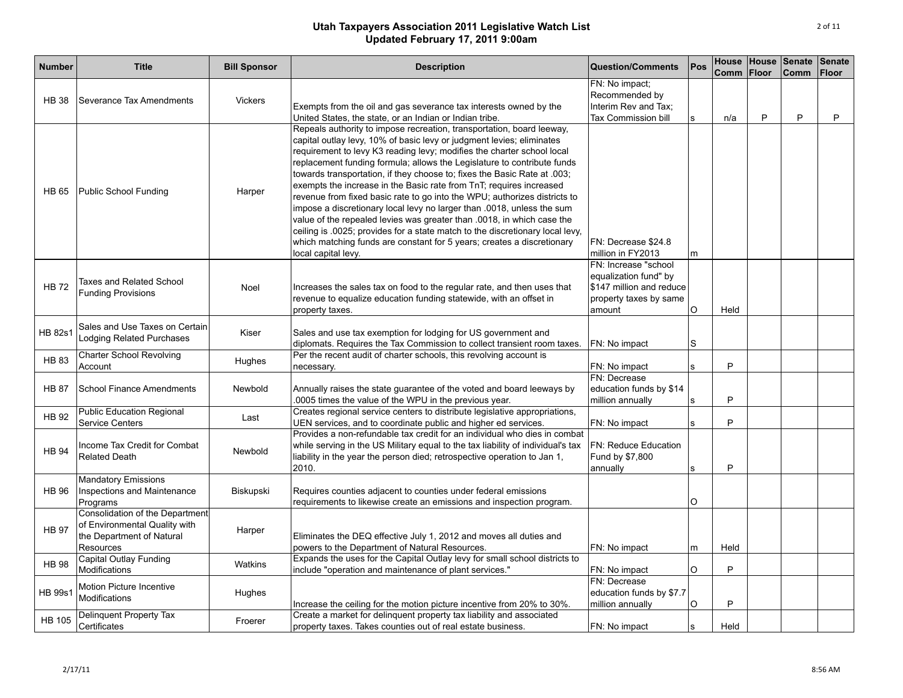| <b>Number</b>  | <b>Title</b>                                                                                               | <b>Bill Sponsor</b> | <b>Description</b>                                                                                                                                                                                                                                                                                                                                                                                                                                                                                                                                                                                                                                                                                                                                                                                                                                                        | <b>Question/Comments</b>                                                                                      | Pos          | Comm | <b>Floor</b> | House House Senate<br><b>Comm</b> | <b>Senate</b><br><b>Floor</b> |
|----------------|------------------------------------------------------------------------------------------------------------|---------------------|---------------------------------------------------------------------------------------------------------------------------------------------------------------------------------------------------------------------------------------------------------------------------------------------------------------------------------------------------------------------------------------------------------------------------------------------------------------------------------------------------------------------------------------------------------------------------------------------------------------------------------------------------------------------------------------------------------------------------------------------------------------------------------------------------------------------------------------------------------------------------|---------------------------------------------------------------------------------------------------------------|--------------|------|--------------|-----------------------------------|-------------------------------|
| <b>HB 38</b>   | Severance Tax Amendments                                                                                   | <b>Vickers</b>      | Exempts from the oil and gas severance tax interests owned by the<br>United States, the state, or an Indian or Indian tribe.                                                                                                                                                                                                                                                                                                                                                                                                                                                                                                                                                                                                                                                                                                                                              | FN: No impact:<br>Recommended by<br>Interim Rev and Tax:<br>Tax Commission bill                               | s            | n/a  | P            | P                                 | P                             |
| <b>HB 65</b>   | Public School Funding                                                                                      | Harper              | Repeals authority to impose recreation, transportation, board leeway,<br>capital outlay levy, 10% of basic levy or judgment levies; eliminates<br>requirement to levy K3 reading levy; modifies the charter school local<br>replacement funding formula; allows the Legislature to contribute funds<br>towards transportation, if they choose to; fixes the Basic Rate at .003;<br>exempts the increase in the Basic rate from TnT; requires increased<br>revenue from fixed basic rate to go into the WPU; authorizes districts to<br>impose a discretionary local levy no larger than .0018, unless the sum<br>value of the repealed levies was greater than .0018, in which case the<br>ceiling is .0025; provides for a state match to the discretionary local levy,<br>which matching funds are constant for 5 years; creates a discretionary<br>local capital levy. | FN: Decrease \$24.8<br>million in FY2013                                                                      | m            |      |              |                                   |                               |
| <b>HB72</b>    | Taxes and Related School<br><b>Funding Provisions</b>                                                      | Noel                | Increases the sales tax on food to the regular rate, and then uses that<br>revenue to equalize education funding statewide, with an offset in<br>property taxes.                                                                                                                                                                                                                                                                                                                                                                                                                                                                                                                                                                                                                                                                                                          | FN: Increase "school<br>equalization fund" by<br>\$147 million and reduce<br>property taxes by same<br>amount | $\circ$      | Held |              |                                   |                               |
| <b>HB 82s1</b> | Sales and Use Taxes on Certain<br>Lodging Related Purchases                                                | Kiser               | Sales and use tax exemption for lodging for US government and<br>diplomats. Requires the Tax Commission to collect transient room taxes.                                                                                                                                                                                                                                                                                                                                                                                                                                                                                                                                                                                                                                                                                                                                  | FN: No impact                                                                                                 | S            |      |              |                                   |                               |
| <b>HB 83</b>   | <b>Charter School Revolving</b><br>Account                                                                 | Hughes              | Per the recent audit of charter schools, this revolving account is<br>necessary.                                                                                                                                                                                                                                                                                                                                                                                                                                                                                                                                                                                                                                                                                                                                                                                          | FN: No impact                                                                                                 | s            | P    |              |                                   |                               |
| <b>HB 87</b>   | School Finance Amendments                                                                                  | Newbold             | Annually raises the state guarantee of the voted and board leeways by<br>.0005 times the value of the WPU in the previous year.                                                                                                                                                                                                                                                                                                                                                                                                                                                                                                                                                                                                                                                                                                                                           | FN: Decrease<br>education funds by \$14<br>million annually                                                   | $\mathbf{s}$ | P    |              |                                   |                               |
| <b>HB 92</b>   | <b>Public Education Regional</b><br><b>Service Centers</b>                                                 | Last                | Creates regional service centers to distribute legislative appropriations,<br>UEN services, and to coordinate public and higher ed services.                                                                                                                                                                                                                                                                                                                                                                                                                                                                                                                                                                                                                                                                                                                              | FN: No impact                                                                                                 | s            | P    |              |                                   |                               |
| <b>HB 94</b>   | Income Tax Credit for Combat<br><b>Related Death</b>                                                       | Newbold             | Provides a non-refundable tax credit for an individual who dies in combat<br>while serving in the US Military equal to the tax liability of individual's tax<br>liability in the year the person died; retrospective operation to Jan 1,<br>2010.                                                                                                                                                                                                                                                                                                                                                                                                                                                                                                                                                                                                                         | FN: Reduce Education<br>Fund by \$7,800<br>annually                                                           | s            | P    |              |                                   |                               |
| <b>HB 96</b>   | <b>Mandatory Emissions</b><br>Inspections and Maintenance<br>Programs                                      | Biskupski           | Requires counties adjacent to counties under federal emissions<br>requirements to likewise create an emissions and inspection program.                                                                                                                                                                                                                                                                                                                                                                                                                                                                                                                                                                                                                                                                                                                                    |                                                                                                               | O            |      |              |                                   |                               |
| <b>HB 97</b>   | Consolidation of the Department<br>of Environmental Quality with<br>the Department of Natural<br>Resources | Harper              | Eliminates the DEQ effective July 1, 2012 and moves all duties and<br>powers to the Department of Natural Resources.                                                                                                                                                                                                                                                                                                                                                                                                                                                                                                                                                                                                                                                                                                                                                      | FN: No impact                                                                                                 | m            | Held |              |                                   |                               |
| <b>HB 98</b>   | <b>Capital Outlay Funding</b><br><b>Modifications</b>                                                      | Watkins             | Expands the uses for the Capital Outlay levy for small school districts to<br>include "operation and maintenance of plant services."                                                                                                                                                                                                                                                                                                                                                                                                                                                                                                                                                                                                                                                                                                                                      | FN: No impact                                                                                                 | O            | P    |              |                                   |                               |
| HB 99s1        | Motion Picture Incentive<br>Modifications                                                                  | Hughes              | Increase the ceiling for the motion picture incentive from 20% to 30%.                                                                                                                                                                                                                                                                                                                                                                                                                                                                                                                                                                                                                                                                                                                                                                                                    | FN: Decrease<br>education funds by \$7.7<br>million annually                                                  | O            | P    |              |                                   |                               |
| <b>HB 105</b>  | <b>Delinquent Property Tax</b><br>Certificates                                                             | Froerer             | Create a market for delinquent property tax liability and associated<br>property taxes. Takes counties out of real estate business.                                                                                                                                                                                                                                                                                                                                                                                                                                                                                                                                                                                                                                                                                                                                       | FN: No impact                                                                                                 | s            | Held |              |                                   |                               |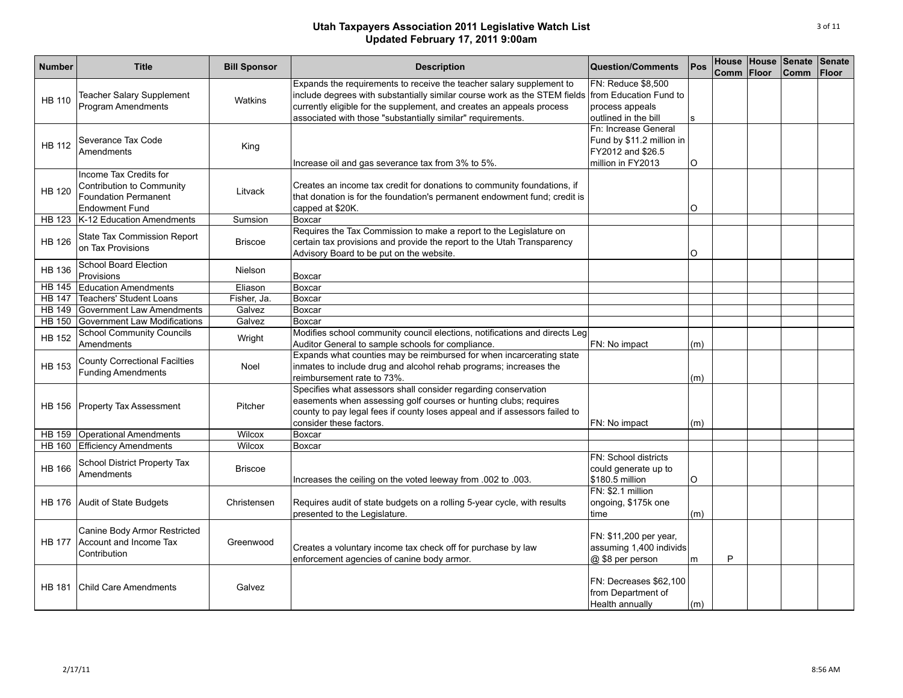| <b>Number</b> | <b>Title</b>                                                  | <b>Bill Sponsor</b> | <b>Description</b>                                                         | <b>Question/Comments</b>  | Pos | <b>Comm</b> | <b>Floor</b> | House House Senate<br><b>Comm</b> | Senate<br><b>Floor</b> |
|---------------|---------------------------------------------------------------|---------------------|----------------------------------------------------------------------------|---------------------------|-----|-------------|--------------|-----------------------------------|------------------------|
|               |                                                               |                     | Expands the requirements to receive the teacher salary supplement to       | FN: Reduce \$8,500        |     |             |              |                                   |                        |
|               | <b>Teacher Salary Supplement</b>                              |                     | include degrees with substantially similar course work as the STEM fields  | from Education Fund to    |     |             |              |                                   |                        |
| <b>HB 110</b> | <b>Program Amendments</b>                                     | Watkins             | currently eligible for the supplement, and creates an appeals process      | process appeals           |     |             |              |                                   |                        |
|               |                                                               |                     | associated with those "substantially similar" requirements.                | outlined in the bill      | s   |             |              |                                   |                        |
|               |                                                               |                     |                                                                            | Fn: Increase General      |     |             |              |                                   |                        |
|               | Severance Tax Code                                            |                     |                                                                            | Fund by \$11.2 million in |     |             |              |                                   |                        |
| <b>HB 112</b> | Amendments                                                    | King                |                                                                            | FY2012 and \$26.5         |     |             |              |                                   |                        |
|               |                                                               |                     | Increase oil and gas severance tax from 3% to 5%.                          | million in FY2013         | O   |             |              |                                   |                        |
|               | Income Tax Credits for                                        |                     |                                                                            |                           |     |             |              |                                   |                        |
|               | Contribution to Community                                     |                     | Creates an income tax credit for donations to community foundations, if    |                           |     |             |              |                                   |                        |
| <b>HB 120</b> | <b>Foundation Permanent</b>                                   | Litvack             | that donation is for the foundation's permanent endowment fund; credit is  |                           |     |             |              |                                   |                        |
|               | <b>Endowment Fund</b>                                         |                     | capped at \$20K.                                                           |                           | O   |             |              |                                   |                        |
| <b>HB 123</b> | K-12 Education Amendments                                     | Sumsion             | Boxcar                                                                     |                           |     |             |              |                                   |                        |
|               | State Tax Commission Report                                   |                     | Requires the Tax Commission to make a report to the Legislature on         |                           |     |             |              |                                   |                        |
| <b>HB 126</b> | on Tax Provisions                                             | <b>Briscoe</b>      | certain tax provisions and provide the report to the Utah Transparency     |                           |     |             |              |                                   |                        |
|               |                                                               |                     | Advisory Board to be put on the website.                                   |                           | O   |             |              |                                   |                        |
| <b>HB 136</b> | <b>School Board Election</b>                                  | Nielson             |                                                                            |                           |     |             |              |                                   |                        |
|               | Provisions                                                    |                     | Boxcar                                                                     |                           |     |             |              |                                   |                        |
| <b>HB 145</b> | <b>Education Amendments</b>                                   | Eliason             | Boxcar                                                                     |                           |     |             |              |                                   |                        |
| <b>HB 147</b> | <b>Teachers' Student Loans</b>                                | Fisher, Ja.         | Boxcar                                                                     |                           |     |             |              |                                   |                        |
| <b>HB 149</b> | Government Law Amendments                                     | Galvez              | Boxcar                                                                     |                           |     |             |              |                                   |                        |
| <b>HB 150</b> | Government Law Modifications                                  | Galvez              | Boxcar                                                                     |                           |     |             |              |                                   |                        |
| <b>HB 152</b> | <b>School Community Councils</b>                              | Wright              | Modifies school community council elections, notifications and directs Leg |                           |     |             |              |                                   |                        |
|               | Amendments                                                    |                     | Auditor General to sample schools for compliance.                          | FN: No impact             | (m) |             |              |                                   |                        |
|               | <b>County Correctional Facilties</b>                          |                     | Expands what counties may be reimbursed for when incarcerating state       |                           |     |             |              |                                   |                        |
| <b>HB 153</b> | <b>Funding Amendments</b>                                     | Noel                | inmates to include drug and alcohol rehab programs; increases the          |                           |     |             |              |                                   |                        |
|               |                                                               |                     | reimbursement rate to 73%.                                                 |                           | (m) |             |              |                                   |                        |
|               |                                                               |                     | Specifies what assessors shall consider regarding conservation             |                           |     |             |              |                                   |                        |
|               | HB 156 Property Tax Assessment                                | Pitcher             | easements when assessing golf courses or hunting clubs; requires           |                           |     |             |              |                                   |                        |
|               |                                                               |                     | county to pay legal fees if county loses appeal and if assessors failed to |                           |     |             |              |                                   |                        |
|               |                                                               | Wilcox              | consider these factors.                                                    | FN: No impact             | (m) |             |              |                                   |                        |
|               | HB 159 Operational Amendments<br>HB 160 Efficiency Amendments | Wilcox              | Boxcar<br>Boxcar                                                           |                           |     |             |              |                                   |                        |
|               |                                                               |                     |                                                                            | FN: School districts      |     |             |              |                                   |                        |
| <b>HB 166</b> | School District Property Tax                                  | <b>Briscoe</b>      |                                                                            | could generate up to      |     |             |              |                                   |                        |
|               | Amendments                                                    |                     | lncreases the ceiling on the voted leeway from .002 to .003.               | \$180.5 million           | O   |             |              |                                   |                        |
|               |                                                               |                     |                                                                            | FN: \$2.1 million         |     |             |              |                                   |                        |
|               | HB 176 Audit of State Budgets                                 | Christensen         | Requires audit of state budgets on a rolling 5-year cycle, with results    | ongoing, \$175k one       |     |             |              |                                   |                        |
|               |                                                               |                     | presented to the Legislature.                                              | time                      | (m) |             |              |                                   |                        |
|               |                                                               |                     |                                                                            |                           |     |             |              |                                   |                        |
|               | Canine Body Armor Restricted                                  |                     |                                                                            | FN: \$11,200 per year,    |     |             |              |                                   |                        |
| <b>HB 177</b> | Account and Income Tax                                        | Greenwood           | Creates a voluntary income tax check off for purchase by law               | assuming 1,400 individs   |     |             |              |                                   |                        |
|               | Contribution                                                  |                     | enforcement agencies of canine body armor.                                 | @ \$8 per person          | m   | P           |              |                                   |                        |
|               |                                                               |                     |                                                                            |                           |     |             |              |                                   |                        |
|               |                                                               |                     |                                                                            | FN: Decreases \$62,100    |     |             |              |                                   |                        |
| <b>HB 181</b> | <b>Child Care Amendments</b>                                  | Galvez              |                                                                            | from Department of        |     |             |              |                                   |                        |
|               |                                                               |                     |                                                                            | Health annually           | (m) |             |              |                                   |                        |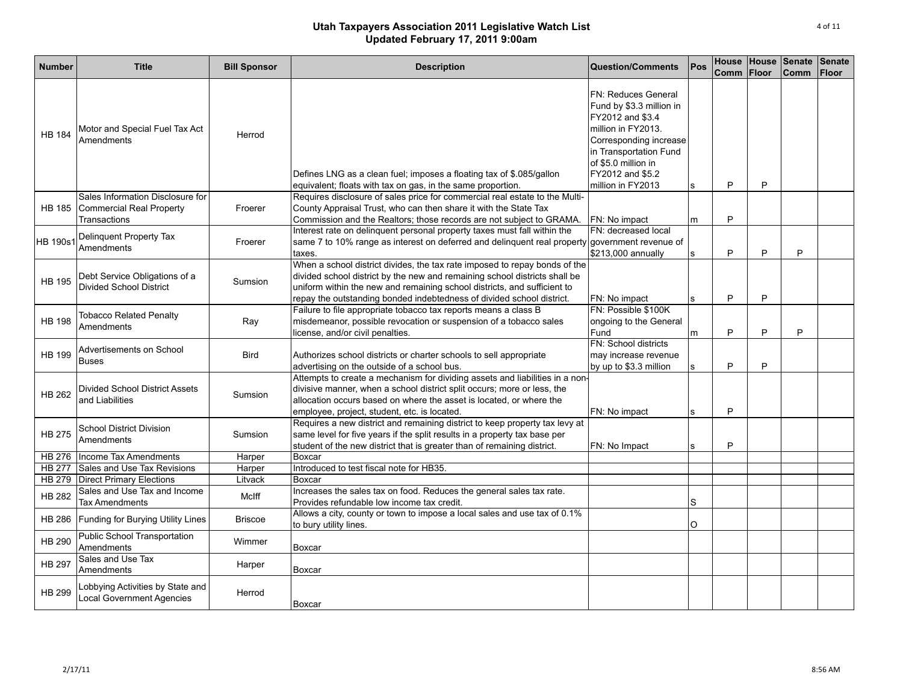| <b>Number</b>   | <b>Title</b>                                                                        | <b>Bill Sponsor</b> | <b>Description</b>                                                                                                                                                                                                                                                                                            | Question/Comments                                                                                                                                                                                                    | Pos          | Comm | <b>Floor</b> | House House Senate<br><b>Comm</b> | Senate<br><b>Floor</b> |
|-----------------|-------------------------------------------------------------------------------------|---------------------|---------------------------------------------------------------------------------------------------------------------------------------------------------------------------------------------------------------------------------------------------------------------------------------------------------------|----------------------------------------------------------------------------------------------------------------------------------------------------------------------------------------------------------------------|--------------|------|--------------|-----------------------------------|------------------------|
| <b>HB 184</b>   | Motor and Special Fuel Tax Act<br>Amendments                                        | Herrod              | Defines LNG as a clean fuel; imposes a floating tax of \$.085/gallon<br>equivalent; floats with tax on gas, in the same proportion.                                                                                                                                                                           | <b>FN: Reduces General</b><br>Fund by \$3.3 million in<br>FY2012 and \$3.4<br>million in FY2013.<br>Corresponding increase<br>in Transportation Fund<br>of \$5.0 million in<br>FY2012 and \$5.2<br>million in FY2013 | s            | P    | P            |                                   |                        |
|                 | Sales Information Disclosure for<br>HB 185 Commercial Real Property<br>Transactions | Froerer             | Requires disclosure of sales price for commercial real estate to the Multi-<br>County Appraisal Trust, who can then share it with the State Tax<br>Commission and the Realtors; those records are not subject to GRAMA.                                                                                       | FN: No impact                                                                                                                                                                                                        | m            | P    |              |                                   |                        |
| <b>HB 190s1</b> | Delinquent Property Tax<br>Amendments                                               | Froerer             | Interest rate on delinquent personal property taxes must fall within the<br>same 7 to 10% range as interest on deferred and delinguent real property government revenue of<br>taxes.                                                                                                                          | FN: decreased local<br>\$213,000 annually                                                                                                                                                                            | <sub>S</sub> | P    | P            | P                                 |                        |
| <b>HB 195</b>   | Debt Service Obligations of a<br><b>Divided School District</b>                     | Sumsion             | When a school district divides, the tax rate imposed to repay bonds of the<br>divided school district by the new and remaining school districts shall be<br>uniform within the new and remaining school districts, and sufficient to<br>repay the outstanding bonded indebtedness of divided school district. | FN: No impact                                                                                                                                                                                                        | $\mathbf{s}$ | P    | P            |                                   |                        |
| <b>HB 198</b>   | <b>Tobacco Related Penalty</b><br>Amendments                                        | Ray                 | Failure to file appropriate tobacco tax reports means a class B<br>misdemeanor, possible revocation or suspension of a tobacco sales<br>license, and/or civil penalties.                                                                                                                                      | FN: Possible \$100K<br>ongoing to the General<br>Fund                                                                                                                                                                | m            | P    | P            | P                                 |                        |
| <b>HB 199</b>   | Advertisements on School<br><b>Buses</b>                                            | <b>Bird</b>         | Authorizes school districts or charter schools to sell appropriate<br>advertising on the outside of a school bus.                                                                                                                                                                                             | FN: School districts<br>may increase revenue<br>by up to \$3.3 million                                                                                                                                               | s            | P    | P            |                                   |                        |
| <b>HB 262</b>   | <b>Divided School District Assets</b><br>and Liabilities                            | Sumsion             | Attempts to create a mechanism for dividing assets and liabilities in a non-<br>divisive manner, when a school district split occurs; more or less, the<br>allocation occurs based on where the asset is located, or where the<br>employee, project, student, etc. is located.                                | FN: No impact                                                                                                                                                                                                        | s            | P    |              |                                   |                        |
| <b>HB 275</b>   | <b>School District Division</b><br>Amendments                                       | Sumsion             | Requires a new district and remaining district to keep property tax levy at<br>same level for five years if the split results in a property tax base per<br>student of the new district that is greater than of remaining district.                                                                           | FN: No Impact                                                                                                                                                                                                        | s            | P    |              |                                   |                        |
|                 | HB 276 Income Tax Amendments                                                        | Harper              | Boxcar                                                                                                                                                                                                                                                                                                        |                                                                                                                                                                                                                      |              |      |              |                                   |                        |
| <b>HB 277</b>   | Sales and Use Tax Revisions                                                         | Harper              | Introduced to test fiscal note for HB35.                                                                                                                                                                                                                                                                      |                                                                                                                                                                                                                      |              |      |              |                                   |                        |
|                 | HB 279 Direct Primary Elections                                                     | Litvack             | Boxcar                                                                                                                                                                                                                                                                                                        |                                                                                                                                                                                                                      |              |      |              |                                   |                        |
| <b>HB 282</b>   | Sales and Use Tax and Income<br><b>Tax Amendments</b>                               | McIff               | Increases the sales tax on food. Reduces the general sales tax rate.<br>Provides refundable low income tax credit.                                                                                                                                                                                            |                                                                                                                                                                                                                      | S            |      |              |                                   |                        |
| <b>HB 286</b>   | Funding for Burying Utility Lines                                                   | <b>Briscoe</b>      | Allows a city, county or town to impose a local sales and use tax of 0.1%<br>to bury utility lines.                                                                                                                                                                                                           |                                                                                                                                                                                                                      | O            |      |              |                                   |                        |
| <b>HB 290</b>   | Public School Transportation<br>Amendments                                          | Wimmer              | Boxcar                                                                                                                                                                                                                                                                                                        |                                                                                                                                                                                                                      |              |      |              |                                   |                        |
| <b>HB 297</b>   | Sales and Use Tax<br>Amendments                                                     | Harper              | Boxcar                                                                                                                                                                                                                                                                                                        |                                                                                                                                                                                                                      |              |      |              |                                   |                        |
| <b>HB 299</b>   | Lobbying Activities by State and<br><b>Local Government Agencies</b>                | Herrod              | Boxcar                                                                                                                                                                                                                                                                                                        |                                                                                                                                                                                                                      |              |      |              |                                   |                        |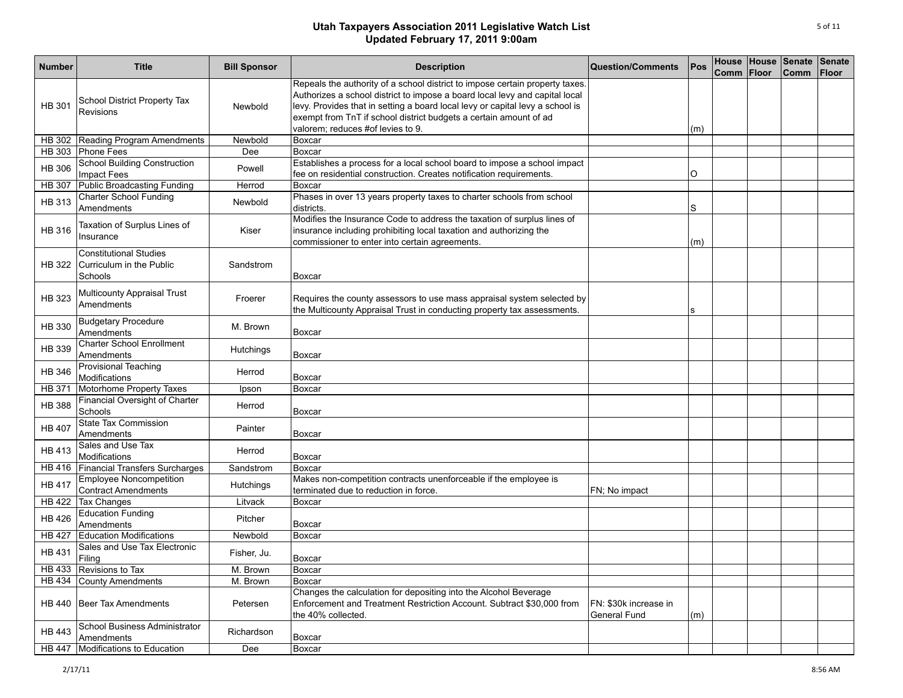| <b>Number</b> | <b>Title</b>                                                         | <b>Bill Sponsor</b> | <b>Description</b>                                                                                                                                                                                                                                                                                                                                     | <b>Question/Comments</b>              | Pos | Comm Floor | House House Senate<br><b>Comm</b> | Senate<br><b>Floor</b> |
|---------------|----------------------------------------------------------------------|---------------------|--------------------------------------------------------------------------------------------------------------------------------------------------------------------------------------------------------------------------------------------------------------------------------------------------------------------------------------------------------|---------------------------------------|-----|------------|-----------------------------------|------------------------|
| <b>HB 301</b> | School District Property Tax<br>Revisions                            | Newbold             | Repeals the authority of a school district to impose certain property taxes.<br>Authorizes a school district to impose a board local levy and capital local<br>levy. Provides that in setting a board local levy or capital levy a school is<br>exempt from TnT if school district budgets a certain amount of ad<br>valorem: reduces #of levies to 9. |                                       | (m) |            |                                   |                        |
| <b>HB 302</b> | Reading Program Amendments                                           | Newbold             | <b>Boxcar</b>                                                                                                                                                                                                                                                                                                                                          |                                       |     |            |                                   |                        |
|               | HB 303 Phone Fees                                                    | Dee                 | Boxcar                                                                                                                                                                                                                                                                                                                                                 |                                       |     |            |                                   |                        |
| <b>HB 306</b> | <b>School Building Construction</b><br><b>Impact Fees</b>            | Powell              | Establishes a process for a local school board to impose a school impact<br>fee on residential construction. Creates notification requirements.                                                                                                                                                                                                        |                                       | O   |            |                                   |                        |
| <b>HB 307</b> | Public Broadcasting Funding                                          | Herrod              | Boxcar                                                                                                                                                                                                                                                                                                                                                 |                                       |     |            |                                   |                        |
| <b>HB 313</b> | <b>Charter School Funding</b><br>Amendments                          | Newbold             | Phases in over 13 years property taxes to charter schools from school<br>districts.                                                                                                                                                                                                                                                                    |                                       | S   |            |                                   |                        |
| HB 316        | Taxation of Surplus Lines of<br>Insurance                            | Kiser               | Modifies the Insurance Code to address the taxation of surplus lines of<br>insurance including prohibiting local taxation and authorizing the<br>commissioner to enter into certain agreements.                                                                                                                                                        |                                       | (m) |            |                                   |                        |
| <b>HB 322</b> | <b>Constitutional Studies</b><br>Curriculum in the Public<br>Schools | Sandstrom           | Boxcar                                                                                                                                                                                                                                                                                                                                                 |                                       |     |            |                                   |                        |
| HB 323        | Multicounty Appraisal Trust<br>Amendments                            | Froerer             | Requires the county assessors to use mass appraisal system selected by<br>the Multicounty Appraisal Trust in conducting property tax assessments.                                                                                                                                                                                                      |                                       | s   |            |                                   |                        |
| HB 330        | <b>Budgetary Procedure</b><br>Amendments                             | M. Brown            | Boxcar                                                                                                                                                                                                                                                                                                                                                 |                                       |     |            |                                   |                        |
| HB 339        | <b>Charter School Enrollment</b><br>Amendments                       | Hutchings           | Boxcar                                                                                                                                                                                                                                                                                                                                                 |                                       |     |            |                                   |                        |
| <b>HB 346</b> | Provisional Teaching<br>Modifications                                | Herrod              | Boxcar                                                                                                                                                                                                                                                                                                                                                 |                                       |     |            |                                   |                        |
| <b>HB 371</b> | Motorhome Property Taxes                                             | Ipson               | Boxcar                                                                                                                                                                                                                                                                                                                                                 |                                       |     |            |                                   |                        |
| <b>HB 388</b> | Financial Oversight of Charter<br>Schools                            | Herrod              | <b>Boxcar</b>                                                                                                                                                                                                                                                                                                                                          |                                       |     |            |                                   |                        |
| <b>HB 407</b> | <b>State Tax Commission</b><br>Amendments                            | Painter             | Boxcar                                                                                                                                                                                                                                                                                                                                                 |                                       |     |            |                                   |                        |
| <b>HB 413</b> | Sales and Use Tax<br>Modifications                                   | Herrod              | Boxcar                                                                                                                                                                                                                                                                                                                                                 |                                       |     |            |                                   |                        |
| HB 416        | Financial Transfers Surcharges                                       | Sandstrom           | <b>Boxcar</b>                                                                                                                                                                                                                                                                                                                                          |                                       |     |            |                                   |                        |
| <b>HB 417</b> | <b>Employee Noncompetition</b><br><b>Contract Amendments</b>         | <b>Hutchings</b>    | Makes non-competition contracts unenforceable if the employee is<br>terminated due to reduction in force.                                                                                                                                                                                                                                              | FN; No impact                         |     |            |                                   |                        |
| <b>HB 422</b> | <b>Tax Changes</b>                                                   | Litvack             | Boxcar                                                                                                                                                                                                                                                                                                                                                 |                                       |     |            |                                   |                        |
| <b>HB 426</b> | <b>Education Funding</b><br>Amendments                               | Pitcher             | Boxcar                                                                                                                                                                                                                                                                                                                                                 |                                       |     |            |                                   |                        |
| <b>HB 427</b> | <b>Education Modifications</b>                                       | Newbold             | Boxcar                                                                                                                                                                                                                                                                                                                                                 |                                       |     |            |                                   |                        |
| <b>HB 431</b> | Sales and Use Tax Electronic<br>Filing                               | Fisher, Ju.         | Boxcar                                                                                                                                                                                                                                                                                                                                                 |                                       |     |            |                                   |                        |
|               | HB 433 Revisions to Tax                                              | M. Brown            | Boxcar                                                                                                                                                                                                                                                                                                                                                 |                                       |     |            |                                   |                        |
|               | HB 434 County Amendments                                             | M. Brown            | Boxcar                                                                                                                                                                                                                                                                                                                                                 |                                       |     |            |                                   |                        |
|               | HB 440   Beer Tax Amendments                                         | Petersen            | Changes the calculation for depositing into the Alcohol Beverage<br>Enforcement and Treatment Restriction Account. Subtract \$30,000 from<br>the 40% collected.                                                                                                                                                                                        | FN: \$30k increase in<br>General Fund | (m) |            |                                   |                        |
| HB 443        | School Business Administrator<br>Amendments                          | Richardson          | Boxcar                                                                                                                                                                                                                                                                                                                                                 |                                       |     |            |                                   |                        |
|               | HB 447 Modifications to Education                                    | Dee                 | <b>Boxcar</b>                                                                                                                                                                                                                                                                                                                                          |                                       |     |            |                                   |                        |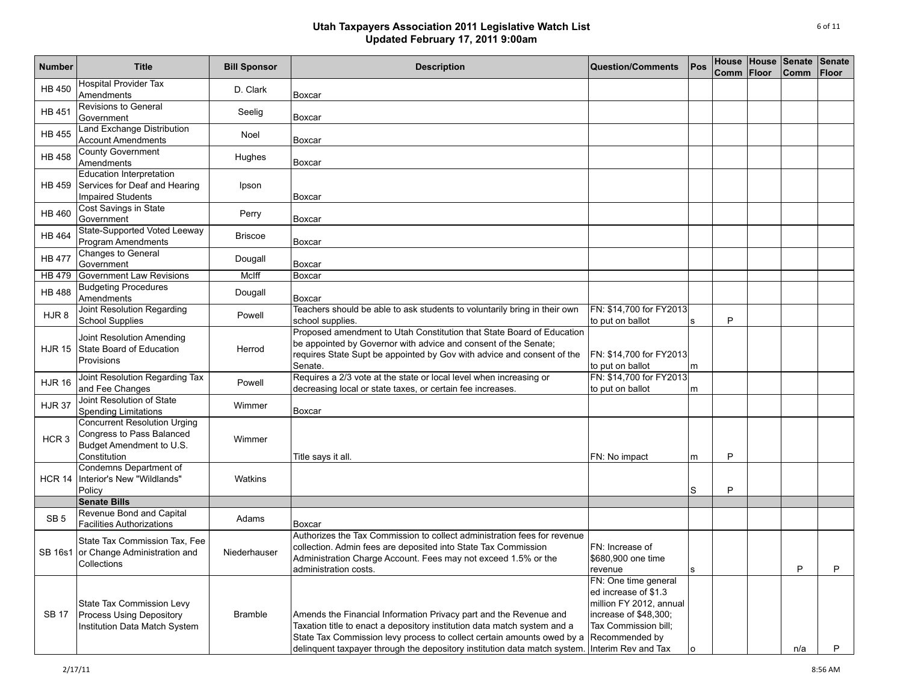| <b>Number</b>    | <b>Title</b>                                                                                                 | <b>Bill Sponsor</b> | <b>Description</b>                                                                                                                                                                                                                                                                                   | <b>Question/Comments</b>                                                                                                                                          | Pos | House<br>Comm | House Senate<br>Floor | <b>Comm</b> | Senate<br>Floor |
|------------------|--------------------------------------------------------------------------------------------------------------|---------------------|------------------------------------------------------------------------------------------------------------------------------------------------------------------------------------------------------------------------------------------------------------------------------------------------------|-------------------------------------------------------------------------------------------------------------------------------------------------------------------|-----|---------------|-----------------------|-------------|-----------------|
| <b>HB 450</b>    | <b>Hospital Provider Tax</b><br>Amendments                                                                   | D. Clark            | Boxcar                                                                                                                                                                                                                                                                                               |                                                                                                                                                                   |     |               |                       |             |                 |
| <b>HB 451</b>    | Revisions to General<br>Government                                                                           | Seelig              | Boxcar                                                                                                                                                                                                                                                                                               |                                                                                                                                                                   |     |               |                       |             |                 |
| HB 455           | Land Exchange Distribution<br><b>Account Amendments</b>                                                      | Noel                | Boxcar                                                                                                                                                                                                                                                                                               |                                                                                                                                                                   |     |               |                       |             |                 |
| <b>HB 458</b>    | <b>County Government</b><br>Amendments                                                                       | Hughes              | Boxcar                                                                                                                                                                                                                                                                                               |                                                                                                                                                                   |     |               |                       |             |                 |
|                  | Education Interpretation<br>HB 459 Services for Deaf and Hearing<br><b>Impaired Students</b>                 | Ipson               | Boxcar                                                                                                                                                                                                                                                                                               |                                                                                                                                                                   |     |               |                       |             |                 |
| <b>HB 460</b>    | Cost Savings in State<br>Government                                                                          | Perry               | Boxcar                                                                                                                                                                                                                                                                                               |                                                                                                                                                                   |     |               |                       |             |                 |
| <b>HB 464</b>    | State-Supported Voted Leeway<br>Program Amendments                                                           | <b>Briscoe</b>      | Boxcar                                                                                                                                                                                                                                                                                               |                                                                                                                                                                   |     |               |                       |             |                 |
| <b>HB 477</b>    | Changes to General<br>Government                                                                             | Dougall             | Boxcar                                                                                                                                                                                                                                                                                               |                                                                                                                                                                   |     |               |                       |             |                 |
| <b>HB</b> 479    | Government Law Revisions                                                                                     | McIff               | Boxcar                                                                                                                                                                                                                                                                                               |                                                                                                                                                                   |     |               |                       |             |                 |
| <b>HB 488</b>    | <b>Budgeting Procedures</b><br>Amendments                                                                    | Dougall             | Boxcar                                                                                                                                                                                                                                                                                               |                                                                                                                                                                   |     |               |                       |             |                 |
| HJR <sub>8</sub> | Joint Resolution Regarding<br><b>School Supplies</b>                                                         | Powell              | Teachers should be able to ask students to voluntarily bring in their own<br>school supplies.                                                                                                                                                                                                        | FN: \$14,700 for FY2013<br>to put on ballot                                                                                                                       |     | P             |                       |             |                 |
|                  | Joint Resolution Amending<br>HJR 15 State Board of Education<br>Provisions                                   | Herrod              | Proposed amendment to Utah Constitution that State Board of Education<br>be appointed by Governor with advice and consent of the Senate;<br>requires State Supt be appointed by Gov with advice and consent of the<br>Senate.                                                                        | FN: \$14,700 for FY2013<br>to put on ballot                                                                                                                       | m   |               |                       |             |                 |
| <b>HJR 16</b>    | Joint Resolution Regarding Tax<br>and Fee Changes                                                            | Powell              | Requires a 2/3 vote at the state or local level when increasing or<br>decreasing local or state taxes, or certain fee increases.                                                                                                                                                                     | FN: \$14,700 for FY2013<br>to put on ballot                                                                                                                       | m   |               |                       |             |                 |
| <b>HJR 37</b>    | Joint Resolution of State<br><b>Spending Limitations</b>                                                     | Wimmer              | Boxcar                                                                                                                                                                                                                                                                                               |                                                                                                                                                                   |     |               |                       |             |                 |
| HCR <sub>3</sub> | <b>Concurrent Resolution Urging</b><br>Congress to Pass Balanced<br>Budget Amendment to U.S.<br>Constitution | Wimmer              | Title says it all.                                                                                                                                                                                                                                                                                   | FN: No impact                                                                                                                                                     | m   | P             |                       |             |                 |
| <b>HCR 14</b>    | Condemns Department of<br>Interior's New "Wildlands"<br>Policy                                               | Watkins             |                                                                                                                                                                                                                                                                                                      |                                                                                                                                                                   | S   | P             |                       |             |                 |
|                  | <b>Senate Bills</b>                                                                                          |                     |                                                                                                                                                                                                                                                                                                      |                                                                                                                                                                   |     |               |                       |             |                 |
| SB <sub>5</sub>  | Revenue Bond and Capital<br><b>Facilities Authorizations</b>                                                 | Adams               | Boxcar                                                                                                                                                                                                                                                                                               |                                                                                                                                                                   |     |               |                       |             |                 |
|                  | State Tax Commission Tax, Fee<br>SB 16s1 or Change Administration and<br>Collections                         | Niederhauser        | Authorizes the Tax Commission to collect administration fees for revenue<br>collection. Admin fees are deposited into State Tax Commission<br>Administration Charge Account. Fees may not exceed 1.5% or the<br>administration costs.                                                                | FN: Increase of<br>\$680,900 one time<br>revenue                                                                                                                  | Is  |               |                       | Р           |                 |
| SB 17            | State Tax Commission Levy<br>Process Using Depository<br>Institution Data Match System                       | <b>Bramble</b>      | Amends the Financial Information Privacy part and the Revenue and<br>Taxation title to enact a depository institution data match system and a<br>State Tax Commission levy process to collect certain amounts owed by a<br>delinquent taxpayer through the depository institution data match system. | FN: One time general<br>ed increase of \$1.3<br>million FY 2012, annual<br>increase of \$48,300;<br>Tax Commission bill;<br>Recommended by<br>Interim Rev and Tax |     |               |                       | n/a         | P               |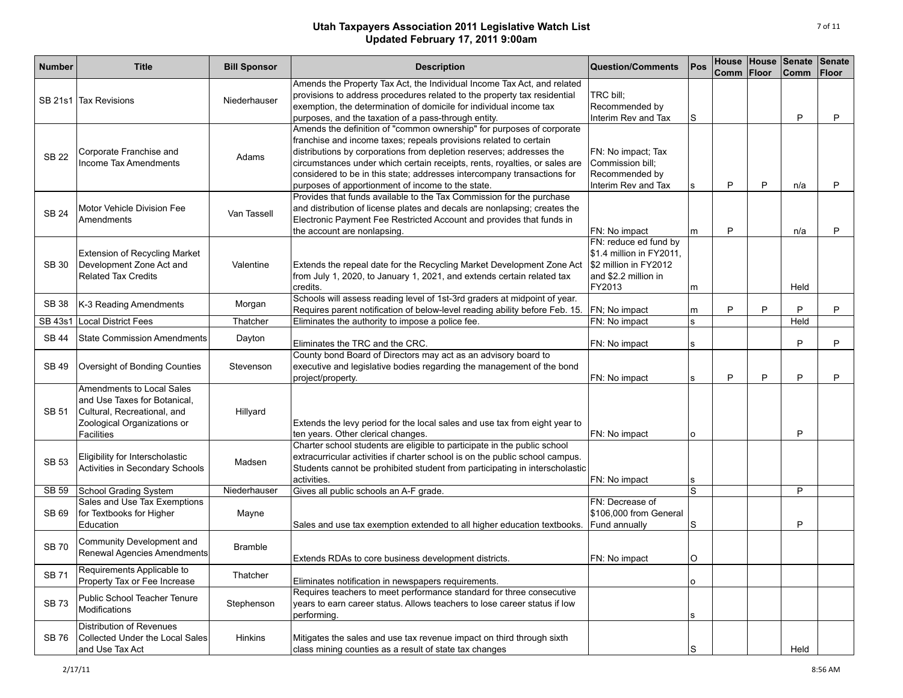| <b>Number</b> | <b>Title</b>                                                                                                                          | <b>Bill Sponsor</b> | <b>Description</b>                                                                                                                                                                                                                                                                                                                                                                                                               | Question/Comments                                                                                            | <b>Pos</b>   | Comm Floor |   | House House Senate<br><b>Comm</b> | <b>Senate</b><br><b>Floor</b> |
|---------------|---------------------------------------------------------------------------------------------------------------------------------------|---------------------|----------------------------------------------------------------------------------------------------------------------------------------------------------------------------------------------------------------------------------------------------------------------------------------------------------------------------------------------------------------------------------------------------------------------------------|--------------------------------------------------------------------------------------------------------------|--------------|------------|---|-----------------------------------|-------------------------------|
|               | SB 21s1 Tax Revisions                                                                                                                 | Niederhauser        | Amends the Property Tax Act, the Individual Income Tax Act, and related<br>provisions to address procedures related to the property tax residential<br>exemption, the determination of domicile for individual income tax<br>purposes, and the taxation of a pass-through entity.                                                                                                                                                | TRC bill;<br>Recommended by<br>Interim Rev and Tax                                                           | S            |            |   | P                                 | P                             |
| <b>SB 22</b>  | Corporate Franchise and<br>Income Tax Amendments                                                                                      | Adams               | Amends the definition of "common ownership" for purposes of corporate<br>franchise and income taxes; repeals provisions related to certain<br>distributions by corporations from depletion reserves; addresses the<br>circumstances under which certain receipts, rents, royalties, or sales are<br>considered to be in this state; addresses intercompany transactions for<br>purposes of apportionment of income to the state. | FN: No impact; Tax<br>Commission bill;<br>Recommended by<br>Interim Rev and Tax                              | s            | P          | P | n/a                               | P                             |
| <b>SB 24</b>  | Motor Vehicle Division Fee<br>Amendments                                                                                              | Van Tassell         | Provides that funds available to the Tax Commission for the purchase<br>and distribution of license plates and decals are nonlapsing; creates the<br>Electronic Payment Fee Restricted Account and provides that funds in<br>the account are nonlapsing.                                                                                                                                                                         | FN: No impact                                                                                                | m            | P          |   | n/a                               | P                             |
| SB 30         | <b>Extension of Recycling Market</b><br>Development Zone Act and<br><b>Related Tax Credits</b>                                        | Valentine           | Extends the repeal date for the Recycling Market Development Zone Act<br>from July 1, 2020, to January 1, 2021, and extends certain related tax<br>credits.                                                                                                                                                                                                                                                                      | FN: reduce ed fund by<br>\$1.4 million in FY2011,<br>\$2 million in FY2012<br>and \$2.2 million in<br>FY2013 | m            |            |   | Held                              |                               |
| SB 38         | K-3 Reading Amendments                                                                                                                | Morgan              | Schools will assess reading level of 1st-3rd graders at midpoint of year.<br>Requires parent notification of below-level reading ability before Feb. 15.                                                                                                                                                                                                                                                                         | FN; No impact                                                                                                | m            | P          | P | P                                 | P                             |
| SB 43s1       | Local District Fees                                                                                                                   | Thatcher            | Eliminates the authority to impose a police fee.                                                                                                                                                                                                                                                                                                                                                                                 | FN: No impact                                                                                                | $\mathbf{s}$ |            |   | Held                              |                               |
| <b>SB 44</b>  | <b>State Commission Amendments</b>                                                                                                    | Dayton              | Eliminates the TRC and the CRC.                                                                                                                                                                                                                                                                                                                                                                                                  | FN: No impact                                                                                                | s            |            |   | P                                 | P                             |
| SB 49         | Oversight of Bonding Counties                                                                                                         | Stevenson           | County bond Board of Directors may act as an advisory board to<br>executive and legislative bodies regarding the management of the bond<br>project/property.                                                                                                                                                                                                                                                                     | FN: No impact                                                                                                | s            | P          | P | P                                 | P                             |
| SB 51         | Amendments to Local Sales<br>and Use Taxes for Botanical,<br>Cultural, Recreational, and<br>Zoological Organizations or<br>Facilities | Hillyard            | Extends the levy period for the local sales and use tax from eight year to<br>ten years. Other clerical changes.                                                                                                                                                                                                                                                                                                                 | FN: No impact                                                                                                | l O          |            |   | P                                 |                               |
| SB 53         | Eligibility for Interscholastic<br>Activities in Secondary Schools                                                                    | Madsen              | Charter school students are eligible to participate in the public school<br>extracurricular activities if charter school is on the public school campus.<br>Students cannot be prohibited student from participating in interscholastic<br>activities.                                                                                                                                                                           | FN: No impact                                                                                                | $\mathbf{s}$ |            |   |                                   |                               |
| SB 59         | School Grading System                                                                                                                 | Niederhauser        | Gives all public schools an A-F grade.                                                                                                                                                                                                                                                                                                                                                                                           |                                                                                                              | S            |            |   | P                                 |                               |
| SB 69         | Sales and Use Tax Exemptions<br>for Textbooks for Higher<br>Education                                                                 | Mayne               | Sales and use tax exemption extended to all higher education textbooks.                                                                                                                                                                                                                                                                                                                                                          | FN: Decrease of<br>\$106,000 from General<br>Fund annually                                                   | S            |            |   | P                                 |                               |
| <b>SB 70</b>  | Community Development and<br>Renewal Agencies Amendments                                                                              | <b>Bramble</b>      | Extends RDAs to core business development districts.                                                                                                                                                                                                                                                                                                                                                                             | FN: No impact                                                                                                | O            |            |   |                                   |                               |
| <b>SB71</b>   | Requirements Applicable to<br>Property Tax or Fee Increase                                                                            | Thatcher            | Eliminates notification in newspapers requirements.                                                                                                                                                                                                                                                                                                                                                                              |                                                                                                              | o            |            |   |                                   |                               |
| SB 73         | Public School Teacher Tenure<br>Modifications                                                                                         | Stephenson          | Requires teachers to meet performance standard for three consecutive<br>years to earn career status. Allows teachers to lose career status if low<br>performing.                                                                                                                                                                                                                                                                 |                                                                                                              | s            |            |   |                                   |                               |
| SB 76         | <b>Distribution of Revenues</b><br>Collected Under the Local Sales<br>and Use Tax Act                                                 | <b>Hinkins</b>      | Mitigates the sales and use tax revenue impact on third through sixth<br>class mining counties as a result of state tax changes                                                                                                                                                                                                                                                                                                  |                                                                                                              | S            |            |   | Held                              |                               |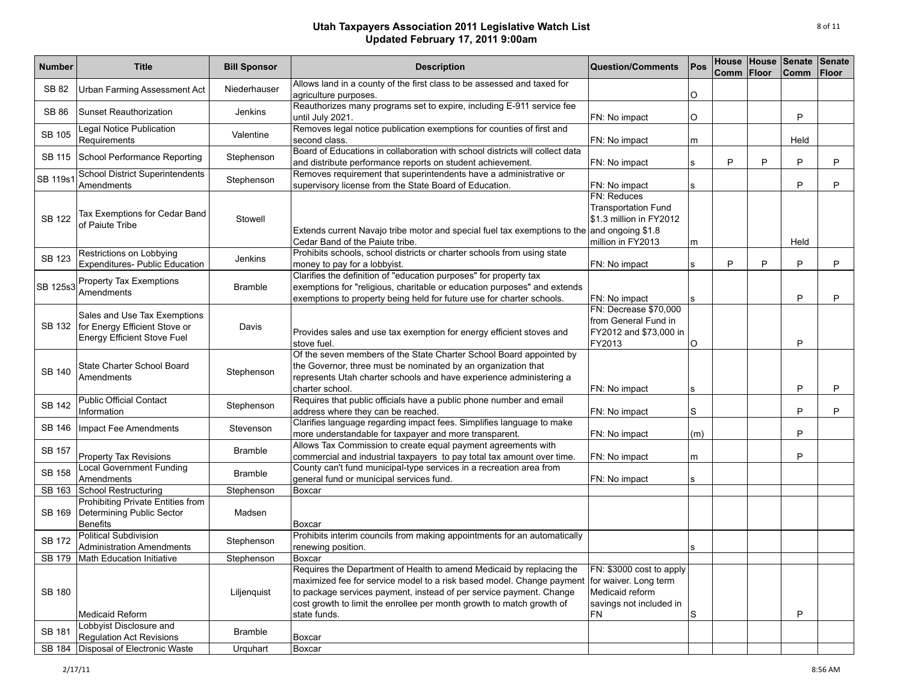| <b>Number</b> | <b>Title</b>                                                                                        | <b>Bill Sponsor</b> | <b>Description</b>                                                                                                                                                                                                                                                                                            | <b>Question/Comments</b>                                                                                     | Pos | Comm Floor |   | House House Senate<br><b>Comm</b> | Senate<br><b>Floor</b> |
|---------------|-----------------------------------------------------------------------------------------------------|---------------------|---------------------------------------------------------------------------------------------------------------------------------------------------------------------------------------------------------------------------------------------------------------------------------------------------------------|--------------------------------------------------------------------------------------------------------------|-----|------------|---|-----------------------------------|------------------------|
| SB 82         | <b>Urban Farming Assessment Act</b>                                                                 | Niederhauser        | Allows land in a county of the first class to be assessed and taxed for<br>agriculture purposes.                                                                                                                                                                                                              |                                                                                                              | O   |            |   |                                   |                        |
| <b>SB 86</b>  | <b>Sunset Reauthorization</b>                                                                       | Jenkins             | Reauthorizes many programs set to expire, including E-911 service fee<br>until July 2021.                                                                                                                                                                                                                     | FN: No impact                                                                                                | O   |            |   | P                                 |                        |
| <b>SB 105</b> | Legal Notice Publication<br>Requirements                                                            | Valentine           | Removes legal notice publication exemptions for counties of first and<br>second class.                                                                                                                                                                                                                        | FN: No impact                                                                                                | m   |            |   | Held                              |                        |
| <b>SB 115</b> | School Performance Reporting                                                                        | Stephenson          | Board of Educations in collaboration with school districts will collect data<br>and distribute performance reports on student achievement.                                                                                                                                                                    | FN: No impact                                                                                                | s   | P          | P | P                                 | P                      |
| SB 119s1      | <b>School District Superintendents</b><br>Amendments                                                | Stephenson          | Removes requirement that superintendents have a administrative or<br>supervisory license from the State Board of Education.                                                                                                                                                                                   | FN: No impact                                                                                                | s   |            |   | P                                 | P                      |
| <b>SB 122</b> | Tax Exemptions for Cedar Band<br>of Paiute Tribe                                                    | Stowell             | Extends current Navajo tribe motor and special fuel tax exemptions to the and ongoing \$1.8<br>Cedar Band of the Paiute tribe.                                                                                                                                                                                | FN: Reduces<br><b>Transportation Fund</b><br>\$1.3 million in FY2012<br>million in FY2013                    | m   |            |   | Held                              |                        |
| <b>SB 123</b> | Restrictions on Lobbying<br>Expenditures- Public Education                                          | <b>Jenkins</b>      | Prohibits schools, school districts or charter schools from using state<br>money to pay for a lobbyist.                                                                                                                                                                                                       | FN: No impact                                                                                                | s   | P          | P | P                                 | P                      |
| SB 125s3      | Property Tax Exemptions<br>Amendments                                                               | <b>Bramble</b>      | Clarifies the definition of "education purposes" for property tax<br>exemptions for "religious, charitable or education purposes" and extends<br>exemptions to property being held for future use for charter schools.                                                                                        | FN: No impact                                                                                                | s   |            |   | P                                 | P                      |
| SB 132        | Sales and Use Tax Exemptions<br>for Energy Efficient Stove or<br><b>Energy Efficient Stove Fuel</b> | Davis               | Provides sales and use tax exemption for energy efficient stoves and<br>stove fuel.                                                                                                                                                                                                                           | FN: Decrease \$70,000<br>from General Fund in<br>FY2012 and \$73,000 in<br>FY2013                            | O   |            |   | P                                 |                        |
| <b>SB 140</b> | State Charter School Board<br>Amendments                                                            | Stephenson          | Of the seven members of the State Charter School Board appointed by<br>the Governor, three must be nominated by an organization that<br>represents Utah charter schools and have experience administering a<br>charter school.                                                                                | FN: No impact                                                                                                | s   |            |   | P                                 | P                      |
| <b>SB 142</b> | <b>Public Official Contact</b><br>Information                                                       | Stephenson          | Requires that public officials have a public phone number and email<br>address where they can be reached.                                                                                                                                                                                                     | FN: No impact                                                                                                | S   |            |   | P                                 | P                      |
| SB 146        | Impact Fee Amendments                                                                               | Stevenson           | Clarifies language regarding impact fees. Simplifies language to make<br>more understandable for taxpayer and more transparent.                                                                                                                                                                               | FN: No impact                                                                                                | (m) |            |   | P                                 |                        |
| SB 157        | <b>Property Tax Revisions</b>                                                                       | <b>Bramble</b>      | Allows Tax Commission to create equal payment agreements with<br>commercial and industrial taxpayers to pay total tax amount over time.                                                                                                                                                                       | FN: No impact                                                                                                | m   |            |   | P                                 |                        |
| SB 158        | <b>Local Government Funding</b><br>Amendments                                                       | <b>Bramble</b>      | County can't fund municipal-type services in a recreation area from<br>general fund or municipal services fund.                                                                                                                                                                                               | FN: No impact                                                                                                | s   |            |   |                                   |                        |
| SB 163        | School Restructuring                                                                                | Stephenson          | Boxcar                                                                                                                                                                                                                                                                                                        |                                                                                                              |     |            |   |                                   |                        |
| SB 169        | Prohibiting Private Entities from<br>Determining Public Sector<br><b>Benefits</b>                   | Madsen              | Boxcar                                                                                                                                                                                                                                                                                                        |                                                                                                              |     |            |   |                                   |                        |
| <b>SB 172</b> | <b>Political Subdivision</b><br><b>Administration Amendments</b>                                    | Stephenson          | Prohibits interim councils from making appointments for an automatically<br>renewing position.                                                                                                                                                                                                                |                                                                                                              | s   |            |   |                                   |                        |
| SB 179        | Math Education Initiative                                                                           | Stephenson          | Boxcar                                                                                                                                                                                                                                                                                                        |                                                                                                              |     |            |   |                                   |                        |
| SB 180        | <b>Medicaid Reform</b>                                                                              | Liljenquist         | Requires the Department of Health to amend Medicaid by replacing the<br>maximized fee for service model to a risk based model. Change payment<br>to package services payment, instead of per service payment. Change<br>cost growth to limit the enrollee per month growth to match growth of<br>state funds. | FN: \$3000 cost to apply<br>for waiver. Long term<br>Medicaid reform<br>savings not included in<br><b>FN</b> | S   |            |   | P                                 |                        |
| SB 181        | Lobbyist Disclosure and<br><b>Requlation Act Revisions</b>                                          | <b>Bramble</b>      | Boxcar                                                                                                                                                                                                                                                                                                        |                                                                                                              |     |            |   |                                   |                        |
|               | SB 184 Disposal of Electronic Waste                                                                 | Urquhart            | Boxcar                                                                                                                                                                                                                                                                                                        |                                                                                                              |     |            |   |                                   |                        |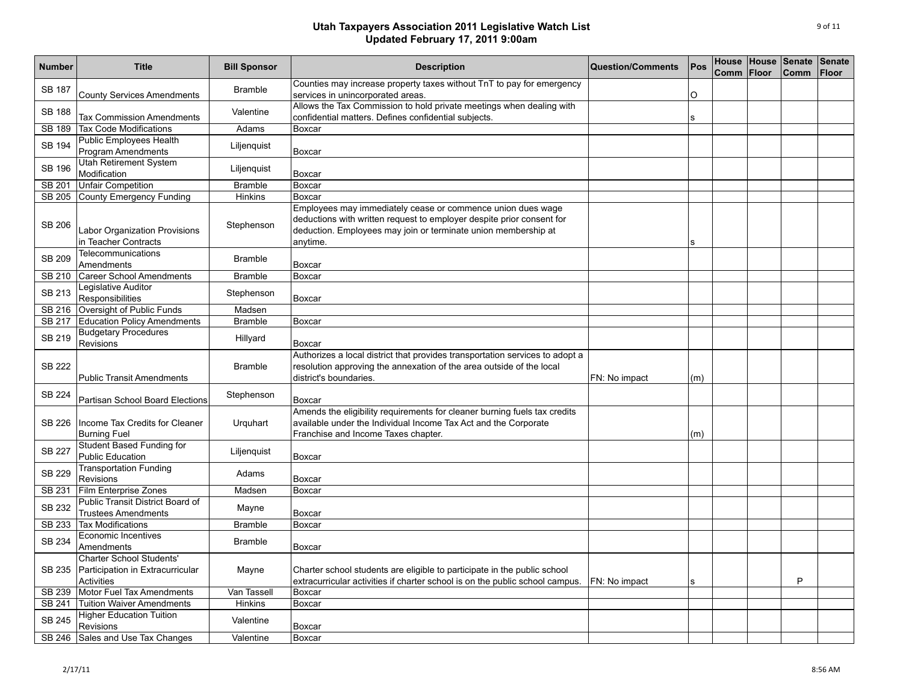| <b>Number</b> | <b>Title</b>                                                                      | <b>Bill Sponsor</b> | <b>Description</b>                                                                                                                                                                                                 | <b>Question/Comments</b> | Pos      | Comm | House House<br>Floor | Senate<br><b>Comm</b> | <b>Senate</b><br><b>Floor</b> |
|---------------|-----------------------------------------------------------------------------------|---------------------|--------------------------------------------------------------------------------------------------------------------------------------------------------------------------------------------------------------------|--------------------------|----------|------|----------------------|-----------------------|-------------------------------|
| <b>SB 187</b> | <b>County Services Amendments</b>                                                 | <b>Bramble</b>      | Counties may increase property taxes without TnT to pay for emergency<br>services in unincorporated areas.                                                                                                         |                          | $\circ$  |      |                      |                       |                               |
| <b>SB 188</b> | <b>Tax Commission Amendments</b>                                                  | Valentine           | Allows the Tax Commission to hold private meetings when dealing with<br>confidential matters. Defines confidential subjects.                                                                                       |                          | <b>S</b> |      |                      |                       |                               |
| SB 189        | <b>Tax Code Modifications</b>                                                     | Adams               | Boxcar                                                                                                                                                                                                             |                          |          |      |                      |                       |                               |
| <b>SB 194</b> | <b>Public Employees Health</b><br><b>Program Amendments</b>                       | Liljenquist         | Boxcar                                                                                                                                                                                                             |                          |          |      |                      |                       |                               |
| <b>SB 196</b> | Utah Retirement System<br>Modification                                            | Liljenquist         | Boxcar                                                                                                                                                                                                             |                          |          |      |                      |                       |                               |
| SB 201        | Unfair Competition                                                                | <b>Bramble</b>      | Boxcar                                                                                                                                                                                                             |                          |          |      |                      |                       |                               |
| SB 205        | County Emergency Funding                                                          | Hinkins             | Boxcar                                                                                                                                                                                                             |                          |          |      |                      |                       |                               |
| <b>SB 206</b> | Labor Organization Provisions<br>in Teacher Contracts                             | Stephenson          | Employees may immediately cease or commence union dues wage<br>deductions with written request to employer despite prior consent for<br>deduction. Employees may join or terminate union membership at<br>anytime. |                          | S        |      |                      |                       |                               |
| SB 209        | Telecommunications<br>Amendments                                                  | <b>Bramble</b>      | Boxcar                                                                                                                                                                                                             |                          |          |      |                      |                       |                               |
| <b>SB 210</b> | <b>Career School Amendments</b>                                                   | <b>Bramble</b>      | Boxcar                                                                                                                                                                                                             |                          |          |      |                      |                       |                               |
| SB 213        | Legislative Auditor<br>Responsibilities                                           | Stephenson          | Boxcar                                                                                                                                                                                                             |                          |          |      |                      |                       |                               |
| SB 216        | Oversight of Public Funds                                                         | Madsen              |                                                                                                                                                                                                                    |                          |          |      |                      |                       |                               |
| SB 217        | <b>Education Policy Amendments</b>                                                | <b>Bramble</b>      | Boxcar                                                                                                                                                                                                             |                          |          |      |                      |                       |                               |
| SB 219        | <b>Budgetary Procedures</b><br>Revisions                                          | Hillyard            | Boxcar                                                                                                                                                                                                             |                          |          |      |                      |                       |                               |
| SB 222        | <b>Public Transit Amendments</b>                                                  | <b>Bramble</b>      | Authorizes a local district that provides transportation services to adopt a<br>resolution approving the annexation of the area outside of the local<br>district's boundaries.                                     | FN: No impact            | (m)      |      |                      |                       |                               |
| <b>SB 224</b> | Partisan School Board Elections                                                   | Stephenson          | Boxcar                                                                                                                                                                                                             |                          |          |      |                      |                       |                               |
| SB 226        | Income Tax Credits for Cleaner<br><b>Burning Fuel</b>                             | Urquhart            | Amends the eligibility requirements for cleaner burning fuels tax credits<br>available under the Individual Income Tax Act and the Corporate<br>Franchise and Income Taxes chapter.                                |                          | (m)      |      |                      |                       |                               |
| SB 227        | <b>Student Based Funding for</b><br><b>Public Education</b>                       | Liljenquist         | Boxcar                                                                                                                                                                                                             |                          |          |      |                      |                       |                               |
| <b>SB 229</b> | <b>Transportation Funding</b><br>Revisions                                        | Adams               | Boxcar                                                                                                                                                                                                             |                          |          |      |                      |                       |                               |
| SB 231        | <b>Film Enterprise Zones</b>                                                      | Madsen              | Boxcar                                                                                                                                                                                                             |                          |          |      |                      |                       |                               |
| SB 232        | Public Transit District Board of<br><b>Trustees Amendments</b>                    | Mayne               | Boxcar                                                                                                                                                                                                             |                          |          |      |                      |                       |                               |
| SB 233        | <b>Tax Modifications</b>                                                          | <b>Bramble</b>      | Boxcar                                                                                                                                                                                                             |                          |          |      |                      |                       |                               |
| SB 234        | Economic Incentives<br>Amendments                                                 | <b>Bramble</b>      | Boxcar                                                                                                                                                                                                             |                          |          |      |                      |                       |                               |
| SB 235        | <b>Charter School Students'</b><br>Participation in Extracurricular<br>Activities | Mayne               | Charter school students are eligible to participate in the public school<br>extracurricular activities if charter school is on the public school campus.   FN: No impact                                           |                          | ls.      |      |                      | P                     |                               |
| SB 239        | Motor Fuel Tax Amendments                                                         | Van Tassell         | Boxcar                                                                                                                                                                                                             |                          |          |      |                      |                       |                               |
| SB 241        | <b>Tuition Waiver Amendments</b>                                                  | Hinkins             | Boxcar                                                                                                                                                                                                             |                          |          |      |                      |                       |                               |
| <b>SB 245</b> | <b>Higher Education Tuition</b><br>Revisions                                      | Valentine           | Boxcar                                                                                                                                                                                                             |                          |          |      |                      |                       |                               |
|               | SB 246 Sales and Use Tax Changes                                                  | Valentine           | Boxcar                                                                                                                                                                                                             |                          |          |      |                      |                       |                               |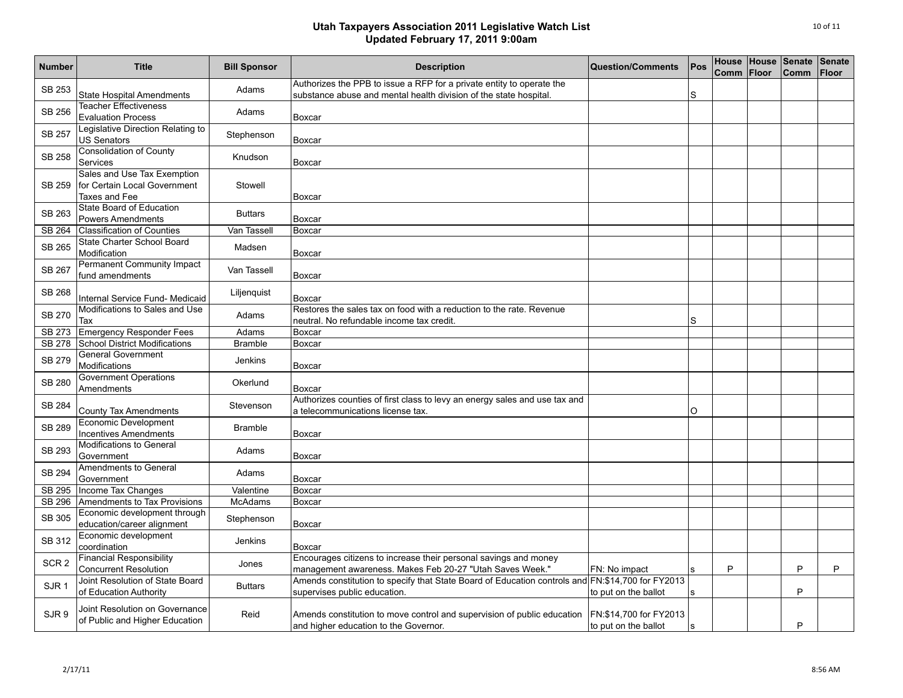| <b>Number</b>    | <b>Title</b>                                                                 | <b>Bill Sponsor</b> | <b>Description</b>                                                                                                                         | <b>Question/Comments</b>                        | Pos          | Comm | Floor | House House Senate<br><b>Comm</b> | <b>Senate</b><br><b>Floor</b> |
|------------------|------------------------------------------------------------------------------|---------------------|--------------------------------------------------------------------------------------------------------------------------------------------|-------------------------------------------------|--------------|------|-------|-----------------------------------|-------------------------------|
| SB 253           | <b>State Hospital Amendments</b>                                             | Adams               | Authorizes the PPB to issue a RFP for a private entity to operate the<br>substance abuse and mental health division of the state hospital. |                                                 | S            |      |       |                                   |                               |
| <b>SB 256</b>    | <b>Teacher Effectiveness</b><br><b>Evaluation Process</b>                    | Adams               | Boxcar                                                                                                                                     |                                                 |              |      |       |                                   |                               |
| <b>SB 257</b>    | Legislative Direction Relating to<br><b>US Senators</b>                      | Stephenson          | Boxcar                                                                                                                                     |                                                 |              |      |       |                                   |                               |
| <b>SB 258</b>    | <b>Consolidation of County</b><br>Services                                   | Knudson             | Boxcar                                                                                                                                     |                                                 |              |      |       |                                   |                               |
| <b>SB 259</b>    | Sales and Use Tax Exemption<br>for Certain Local Government<br>Taxes and Fee | Stowell             | Boxcar                                                                                                                                     |                                                 |              |      |       |                                   |                               |
| SB 263           | State Board of Education<br><b>Powers Amendments</b>                         | <b>Buttars</b>      | Boxcar                                                                                                                                     |                                                 |              |      |       |                                   |                               |
| SB 264           | <b>Classification of Counties</b>                                            | Van Tassell         | Boxcar                                                                                                                                     |                                                 |              |      |       |                                   |                               |
| SB 265           | State Charter School Board<br>Modification                                   | Madsen              | <b>Boxcar</b>                                                                                                                              |                                                 |              |      |       |                                   |                               |
| <b>SB 267</b>    | <b>Permanent Community Impact</b><br>fund amendments                         | Van Tassell         | Boxcar                                                                                                                                     |                                                 |              |      |       |                                   |                               |
| SB 268           | Internal Service Fund- Medicaid                                              | Liljenquist         | Boxcar                                                                                                                                     |                                                 |              |      |       |                                   |                               |
| <b>SB 270</b>    | Modifications to Sales and Use<br>Tax                                        | Adams               | Restores the sales tax on food with a reduction to the rate. Revenue<br>neutral. No refundable income tax credit.                          |                                                 | S            |      |       |                                   |                               |
| SB 273           | Emergency Responder Fees                                                     | Adams               | Boxcar                                                                                                                                     |                                                 |              |      |       |                                   |                               |
| <b>SB 278</b>    | School District Modifications                                                | <b>Bramble</b>      | Boxcar                                                                                                                                     |                                                 |              |      |       |                                   |                               |
| <b>SB 279</b>    | <b>General Government</b><br>Modifications                                   | <b>Jenkins</b>      | Boxcar                                                                                                                                     |                                                 |              |      |       |                                   |                               |
| <b>SB 280</b>    | <b>Government Operations</b><br>Amendments                                   | Okerlund            | Boxcar                                                                                                                                     |                                                 |              |      |       |                                   |                               |
| <b>SB 284</b>    | <b>County Tax Amendments</b>                                                 | Stevenson           | Authorizes counties of first class to levy an energy sales and use tax and<br>a telecommunications license tax.                            |                                                 | O            |      |       |                                   |                               |
| <b>SB 289</b>    | Economic Development<br><b>Incentives Amendments</b>                         | <b>Bramble</b>      | <b>Boxcar</b>                                                                                                                              |                                                 |              |      |       |                                   |                               |
| SB 293           | <b>Modifications to General</b><br>Government                                | Adams               | <b>Boxcar</b>                                                                                                                              |                                                 |              |      |       |                                   |                               |
| SB 294           | Amendments to General<br>Government                                          | Adams               | Boxcar                                                                                                                                     |                                                 |              |      |       |                                   |                               |
| SB 295           | Income Tax Changes                                                           | Valentine           | Boxcar                                                                                                                                     |                                                 |              |      |       |                                   |                               |
| <b>SB 296</b>    | Amendments to Tax Provisions                                                 | <b>McAdams</b>      | Boxcar                                                                                                                                     |                                                 |              |      |       |                                   |                               |
| <b>SB 305</b>    | Economic development through<br>education/career alignment                   | Stephenson          | Boxcar                                                                                                                                     |                                                 |              |      |       |                                   |                               |
| SB 312           | Economic development<br>coordination                                         | Jenkins             | Boxcar                                                                                                                                     |                                                 |              |      |       |                                   |                               |
| SCR <sub>2</sub> | <b>Financial Responsibility</b><br><b>Concurrent Resolution</b>              | Jones               | Encourages citizens to increase their personal savings and money<br>management awareness. Makes Feb 20-27 "Utah Saves Week."               | FN: No impact                                   | s            | P    |       | P                                 | P                             |
| SJR <sub>1</sub> | Joint Resolution of State Board<br>of Education Authority                    | <b>Buttars</b>      | Amends constitution to specify that State Board of Education controls and FN:\$14,700 for FY2013<br>supervises public education.           | to put on the ballot                            | $\mathbf{s}$ |      |       | P                                 |                               |
| SJR <sub>9</sub> | Joint Resolution on Governance<br>of Public and Higher Education             | Reid                | Amends constitution to move control and supervision of public education<br>and higher education to the Governor.                           | FN: \$14,700 for FY2013<br>to put on the ballot | S            |      |       | P                                 |                               |